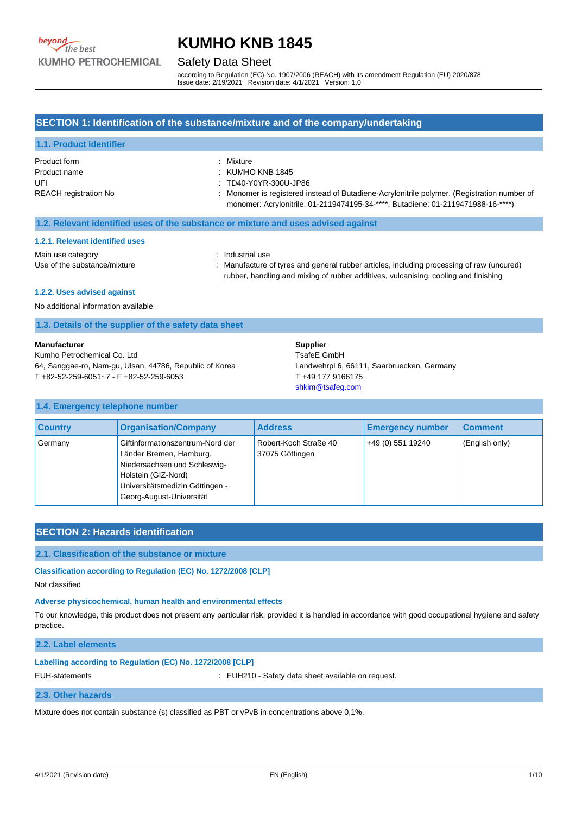#### Safety Data Sheet

according to Regulation (EC) No. 1907/2006 (REACH) with its amendment Regulation (EU) 2020/878 Issue date: 2/19/2021 Revision date: 4/1/2021 Version: 1.0

### **SECTION 1: Identification of the substance/mixture and of the company/undertaking**

| <b>1.1. Product identifier</b> |                                                                                                                                                                                 |
|--------------------------------|---------------------------------------------------------------------------------------------------------------------------------------------------------------------------------|
| Product form                   | Mixture                                                                                                                                                                         |
| Product name                   | $:$ KUMHO KNB 1845                                                                                                                                                              |
| UFI                            | : TD40-Y0YR-300U-JP86                                                                                                                                                           |
| <b>REACH registration No</b>   | : Monomer is registered instead of Butadiene-Acrylonitrile polymer. (Registration number of<br>monomer: Acrylonitrile: 01-2119474195-34-****, Butadiene: 01-2119471988-16-****) |

#### **1.2. Relevant identified uses of the substance or mixture and uses advised against**

#### **1.2.1. Relevant identified uses**

Main use category **Example 20** and the state of the Main use

Use of the substance/mixture : Manufacture of tyres and general rubber articles, including processing of raw (uncured) rubber, handling and mixing of rubber additives, vulcanising, cooling and finishing

#### **1.2.2. Uses advised against**

No additional information available

|  |  |  |  | 1.3. Details of the supplier of the safety data sheet |
|--|--|--|--|-------------------------------------------------------|
|--|--|--|--|-------------------------------------------------------|

#### **Manufacturer**

Kumho Petrochemical Co. Ltd 64, Sanggae-ro, Nam-gu, Ulsan, 44786, Republic of Korea T +82-52-259-6051~7 - F +82-52-259-6053

**Supplier** TsafeE GmbH Landwehrpl 6, 66111, Saarbruecken, Germany T +49 177 9166175 [shkim@tsafeg.com](mailto:shkim@tsafeg.com)

#### **1.4. Emergency telephone number**

| <b>Country</b> | <b>Organisation/Company</b>                                                                                                                                                       | <b>Address</b>                           | <b>Emergency number</b> | <b>Comment</b> |
|----------------|-----------------------------------------------------------------------------------------------------------------------------------------------------------------------------------|------------------------------------------|-------------------------|----------------|
| Germany        | Giftinformationszentrum-Nord der<br>Länder Bremen, Hamburg,<br>Niedersachsen und Schleswig-<br>Holstein (GIZ-Nord)<br>Universitätsmedizin Göttingen -<br>Georg-August-Universität | Robert-Koch Straße 40<br>37075 Göttingen | +49 (0) 551 19240       | (English only) |

### **SECTION 2: Hazards identification**

#### **2.1. Classification of the substance or mixture**

**Classification according to Regulation (EC) No. 1272/2008 [CLP]**

Not classified

#### **Adverse physicochemical, human health and environmental effects**

To our knowledge, this product does not present any particular risk, provided it is handled in accordance with good occupational hygiene and safety practice.

#### **2.2. Label elements**

#### **Labelling according to Regulation (EC) No. 1272/2008 [CLP]**

EUH-statements : EUH210 - Safety data sheet available on request.

#### **2.3. Other hazards**

Mixture does not contain substance (s) classified as PBT or vPvB in concentrations above 0,1%.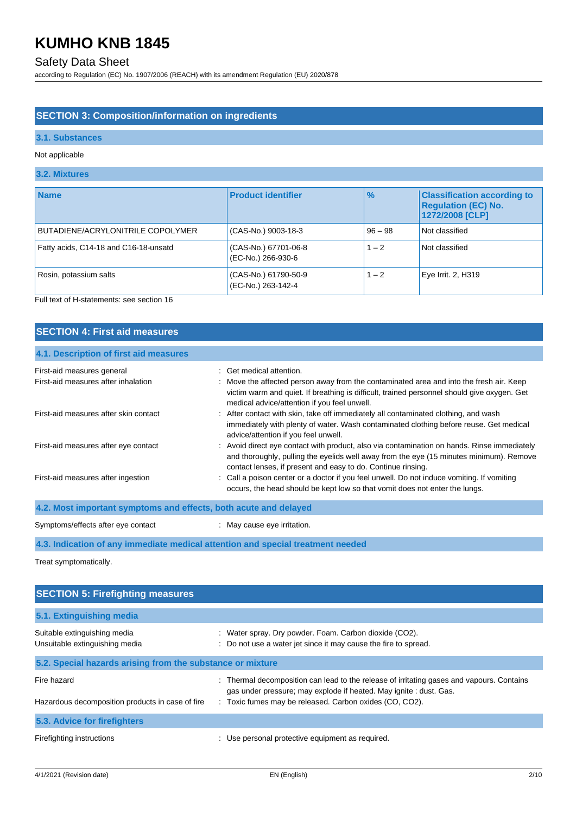## Safety Data Sheet

according to Regulation (EC) No. 1907/2006 (REACH) with its amendment Regulation (EU) 2020/878

## **SECTION 3: Composition/information on ingredients**

## **3.1. Substances**

#### Not applicable

## **3.2. Mixtures**

| <b>Name</b>                           | <b>Product identifier</b>                  | $\frac{1}{2}$ | <b>Classification according to</b><br><b>Regulation (EC) No.</b><br>1272/2008 [CLP] |
|---------------------------------------|--------------------------------------------|---------------|-------------------------------------------------------------------------------------|
| BUTADIENE/ACRYLONITRILE COPOLYMER     | (CAS-No.) 9003-18-3                        | $96 - 98$     | Not classified                                                                      |
| Fatty acids, C14-18 and C16-18-unsatd | (CAS-No.) 67701-06-8<br>(EC-No.) 266-930-6 | $1 - 2$       | Not classified                                                                      |
| Rosin, potassium salts                | (CAS-No.) 61790-50-9<br>(EC-No.) 263-142-4 | $1 - 2$       | Eye Irrit. 2, H319                                                                  |

Full text of H-statements: see section 16

## **SECTION 4: First aid measures**

## **4.1. Description of first aid measures**

| First-aid measures general                                                      | Get medical attention.                                                                                                                                                                                                                                 |
|---------------------------------------------------------------------------------|--------------------------------------------------------------------------------------------------------------------------------------------------------------------------------------------------------------------------------------------------------|
| First-aid measures after inhalation                                             | : Move the affected person away from the contaminated area and into the fresh air. Keep<br>victim warm and quiet. If breathing is difficult, trained personnel should give oxygen. Get<br>medical advice/attention if you feel unwell.                 |
| First-aid measures after skin contact                                           | : After contact with skin, take off immediately all contaminated clothing, and wash<br>immediately with plenty of water. Wash contaminated clothing before reuse. Get medical<br>advice/attention if you feel unwell.                                  |
| First-aid measures after eye contact                                            | : Avoid direct eye contact with product, also via contamination on hands. Rinse immediately<br>and thoroughly, pulling the eyelids well away from the eye (15 minutes minimum). Remove<br>contact lenses, if present and easy to do. Continue rinsing. |
| First-aid measures after ingestion                                              | : Call a poison center or a doctor if you feel unwell. Do not induce vomiting. If vomiting<br>occurs, the head should be kept low so that vomit does not enter the lungs.                                                                              |
| 4.2. Most important symptoms and effects, both acute and delayed                |                                                                                                                                                                                                                                                        |
| Symptoms/effects after eye contact                                              | : May cause eye irritation.                                                                                                                                                                                                                            |
| 4.3. Indication of any immediate medical attention and special treatment needed |                                                                                                                                                                                                                                                        |

Treat symptomatically.

| <b>SECTION 5: Firefighting measures</b>                        |                                                                                                                                                                 |
|----------------------------------------------------------------|-----------------------------------------------------------------------------------------------------------------------------------------------------------------|
| 5.1. Extinguishing media                                       |                                                                                                                                                                 |
| Suitable extinguishing media<br>Unsuitable extinguishing media | : Water spray. Dry powder. Foam. Carbon dioxide (CO2).<br>: Do not use a water jet since it may cause the fire to spread.                                       |
| 5.2. Special hazards arising from the substance or mixture     |                                                                                                                                                                 |
| Fire hazard                                                    | : Thermal decomposition can lead to the release of irritating gases and vapours. Contains<br>gas under pressure; may explode if heated. May ignite : dust. Gas. |
| Hazardous decomposition products in case of fire               | : Toxic fumes may be released. Carbon oxides (CO, CO2).                                                                                                         |
| 5.3. Advice for firefighters                                   |                                                                                                                                                                 |
| Firefighting instructions                                      | Use personal protective equipment as required.                                                                                                                  |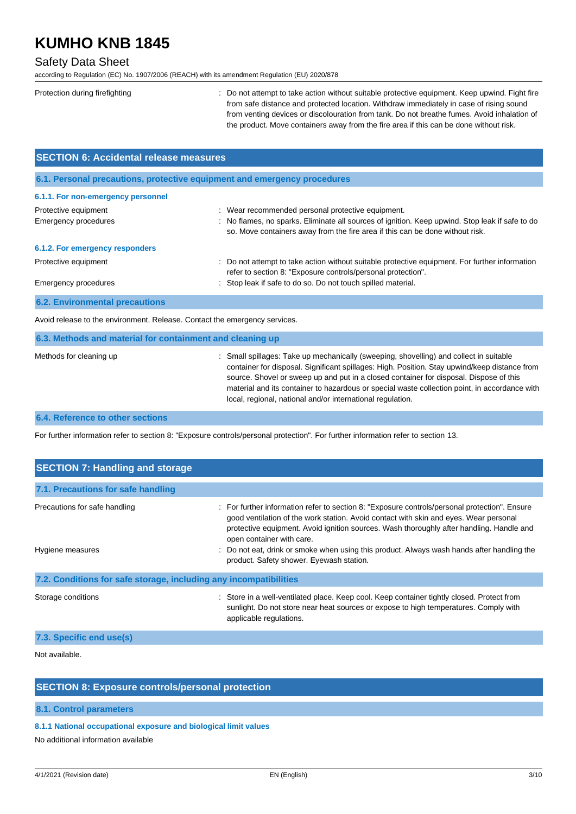## Safety Data Sheet

according to Regulation (EC) No. 1907/2006 (REACH) with its amendment Regulation (EU) 2020/878

| Protection during firefighting | : Do not attempt to take action without suitable protective equipment. Keep upwind. Fight fire |
|--------------------------------|------------------------------------------------------------------------------------------------|
|                                | from safe distance and protected location. Withdraw immediately in case of rising sound        |
|                                | from venting devices or discolouration from tank. Do not breathe fumes. Avoid inhalation of    |
|                                | the product. Move containers away from the fire area if this can be done without risk.         |
|                                |                                                                                                |

| <b>SECTION 6: Accidental release measures</b>                            |                                                                                                                                                                                |  |
|--------------------------------------------------------------------------|--------------------------------------------------------------------------------------------------------------------------------------------------------------------------------|--|
| 6.1. Personal precautions, protective equipment and emergency procedures |                                                                                                                                                                                |  |
| 6.1.1. For non-emergency personnel                                       |                                                                                                                                                                                |  |
| Protective equipment                                                     | : Wear recommended personal protective equipment.                                                                                                                              |  |
| <b>Emergency procedures</b>                                              | No flames, no sparks. Eliminate all sources of ignition. Keep upwind. Stop leak if safe to do<br>so. Move containers away from the fire area if this can be done without risk. |  |
| 6.1.2. For emergency responders                                          |                                                                                                                                                                                |  |
| Protective equipment                                                     | Do not attempt to take action without suitable protective equipment. For further information<br>refer to section 8: "Exposure controls/personal protection".                   |  |
| <b>Emergency procedures</b>                                              | : Stop leak if safe to do so. Do not touch spilled material.                                                                                                                   |  |
| <b>6.2. Environmental precautions</b>                                    |                                                                                                                                                                                |  |
|                                                                          |                                                                                                                                                                                |  |

Avoid release to the environment. Release. Contact the emergency services.

| 6.3. Methods and material for containment and cleaning up |                                                                                                                                                                                                                                                                                                                                                                                                                                                  |
|-----------------------------------------------------------|--------------------------------------------------------------------------------------------------------------------------------------------------------------------------------------------------------------------------------------------------------------------------------------------------------------------------------------------------------------------------------------------------------------------------------------------------|
| Methods for cleaning up                                   | : Small spillages: Take up mechanically (sweeping, shovelling) and collect in suitable<br>container for disposal. Significant spillages: High. Position. Stay upwind/keep distance from<br>source. Shovel or sweep up and put in a closed container for disposal. Dispose of this<br>material and its container to hazardous or special waste collection point, in accordance with<br>local, regional, national and/or international regulation. |

## **6.4. Reference to other sections**

For further information refer to section 8: "Exposure controls/personal protection". For further information refer to section 13.

| <b>SECTION 7: Handling and storage</b>                            |                                                                                                                                                                                                                                                                                                                 |
|-------------------------------------------------------------------|-----------------------------------------------------------------------------------------------------------------------------------------------------------------------------------------------------------------------------------------------------------------------------------------------------------------|
| 7.1. Precautions for safe handling                                |                                                                                                                                                                                                                                                                                                                 |
| Precautions for safe handling                                     | : For further information refer to section 8: "Exposure controls/personal protection". Ensure<br>good ventilation of the work station. Avoid contact with skin and eyes. Wear personal<br>protective equipment. Avoid ignition sources. Wash thoroughly after handling. Handle and<br>open container with care. |
| Hygiene measures                                                  | : Do not eat, drink or smoke when using this product. Always wash hands after handling the<br>product. Safety shower. Eyewash station.                                                                                                                                                                          |
| 7.2. Conditions for safe storage, including any incompatibilities |                                                                                                                                                                                                                                                                                                                 |
| Storage conditions                                                | : Store in a well-ventilated place. Keep cool. Keep container tightly closed. Protect from<br>sunlight. Do not store near heat sources or expose to high temperatures. Comply with<br>applicable regulations.                                                                                                   |
| $\blacksquare$                                                    |                                                                                                                                                                                                                                                                                                                 |

### **7.3. Specific end use(s)**

Not available.

## **SECTION 8: Exposure controls/personal protection**

#### **8.1. Control parameters**

#### **8.1.1 National occupational exposure and biological limit values**

No additional information available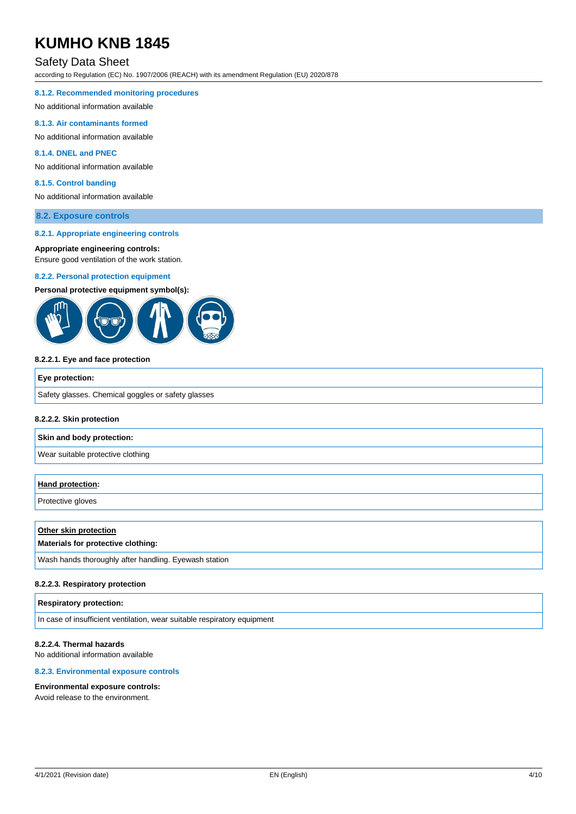## Safety Data Sheet

according to Regulation (EC) No. 1907/2006 (REACH) with its amendment Regulation (EU) 2020/878

#### **8.1.2. Recommended monitoring procedures**

No additional information available

#### **8.1.3. Air contaminants formed**

No additional information available

#### **8.1.4. DNEL and PNEC**

No additional information available

#### **8.1.5. Control banding**

No additional information available

#### **8.2. Exposure controls**

#### **8.2.1. Appropriate engineering controls**

#### **Appropriate engineering controls:**

Ensure good ventilation of the work station.

#### **8.2.2. Personal protection equipment**

#### **Personal protective equipment symbol(s):**



#### **8.2.2.1. Eye and face protection**

| Eye protection:                                    |  |
|----------------------------------------------------|--|
| Safety glasses. Chemical goggles or safety glasses |  |

#### **8.2.2.2. Skin protection**

#### **Skin and body protection:**

Wear suitable protective clothing

#### **Hand protection:**

Protective gloves

## **Other skin protection Materials for protective clothing:**

Wash hands thoroughly after handling. Eyewash station

#### **8.2.2.3. Respiratory protection**

#### **Respiratory protection:**

In case of insufficient ventilation, wear suitable respiratory equipment

#### **8.2.2.4. Thermal hazards**

No additional information available

### **8.2.3. Environmental exposure controls**

#### **Environmental exposure controls:**

Avoid release to the environment.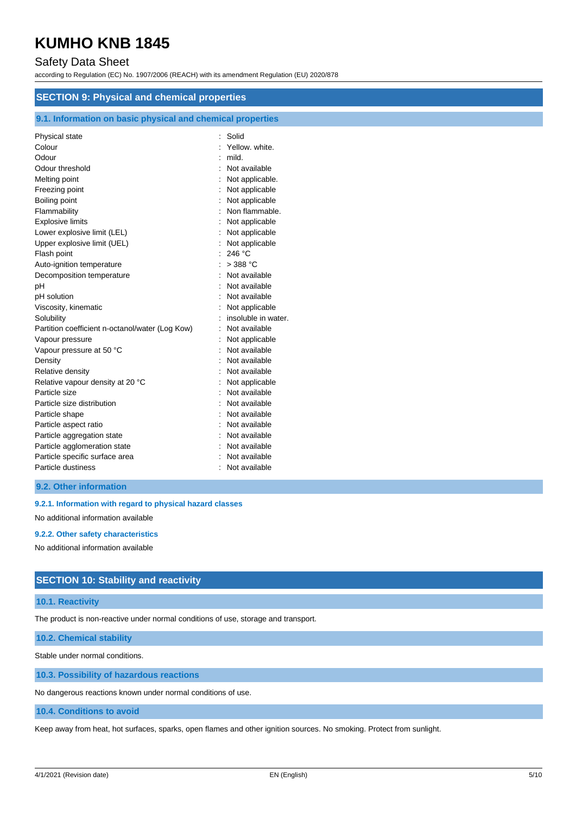## Safety Data Sheet

according to Regulation (EC) No. 1907/2006 (REACH) with its amendment Regulation (EU) 2020/878

| <b>SECTION 9: Physical and chemical properties</b><br>9.1. Information on basic physical and chemical properties |                     |  |
|------------------------------------------------------------------------------------------------------------------|---------------------|--|
|                                                                                                                  |                     |  |
| Colour                                                                                                           | Yellow, white.      |  |
| Odour                                                                                                            | mild.               |  |
| Odour threshold                                                                                                  | Not available       |  |
| Melting point                                                                                                    | Not applicable.     |  |
| Freezing point                                                                                                   | Not applicable      |  |
| Boiling point                                                                                                    | Not applicable      |  |
| Flammability                                                                                                     | Non flammable.      |  |
| <b>Explosive limits</b>                                                                                          | Not applicable      |  |
| Lower explosive limit (LEL)                                                                                      | Not applicable      |  |
| Upper explosive limit (UEL)                                                                                      | Not applicable      |  |
| Flash point                                                                                                      | 246 °C              |  |
| Auto-ignition temperature                                                                                        | $>388$ °C           |  |
| Decomposition temperature                                                                                        | Not available       |  |
| рH                                                                                                               | Not available       |  |
| pH solution                                                                                                      | Not available       |  |
| Viscosity, kinematic                                                                                             | Not applicable      |  |
| Solubility                                                                                                       | insoluble in water. |  |
| Partition coefficient n-octanol/water (Log Kow)                                                                  | Not available       |  |
| Vapour pressure                                                                                                  | Not applicable      |  |
| Vapour pressure at 50 °C                                                                                         | Not available       |  |
| Density                                                                                                          | Not available       |  |
| Relative density                                                                                                 | Not available       |  |
| Relative vapour density at 20 °C                                                                                 | Not applicable      |  |
| Particle size                                                                                                    | Not available       |  |
| Particle size distribution                                                                                       | Not available       |  |
| Particle shape                                                                                                   | Not available       |  |
| Particle aspect ratio                                                                                            | Not available       |  |
| Particle aggregation state                                                                                       | Not available       |  |
| Particle agglomeration state                                                                                     | Not available       |  |
| Particle specific surface area                                                                                   | Not available       |  |
| Particle dustiness                                                                                               | Not available       |  |
|                                                                                                                  |                     |  |

## **9.2. Other information**

**9.2.1. Information with regard to physical hazard classes**

No additional information available

#### **9.2.2. Other safety characteristics**

No additional information available

## **SECTION 10: Stability and reactivity**

#### **10.1. Reactivity**

The product is non-reactive under normal conditions of use, storage and transport.

**10.2. Chemical stability**

Stable under normal conditions.

**10.3. Possibility of hazardous reactions**

No dangerous reactions known under normal conditions of use.

#### **10.4. Conditions to avoid**

Keep away from heat, hot surfaces, sparks, open flames and other ignition sources. No smoking. Protect from sunlight.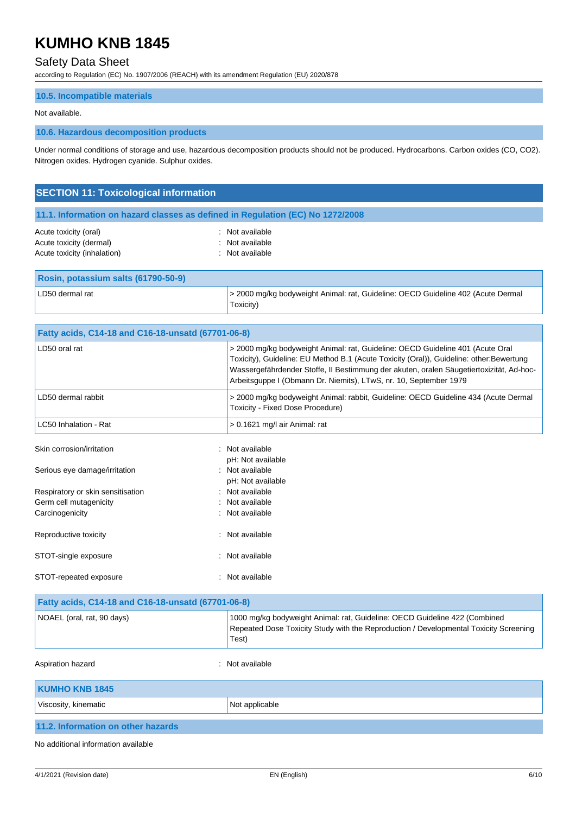## Safety Data Sheet

according to Regulation (EC) No. 1907/2006 (REACH) with its amendment Regulation (EU) 2020/878

## **10.5. Incompatible materials**

#### Not available.

#### **10.6. Hazardous decomposition products**

Under normal conditions of storage and use, hazardous decomposition products should not be produced. Hydrocarbons. Carbon oxides (CO, CO2). Nitrogen oxides. Hydrogen cyanide. Sulphur oxides.

| <b>SECTION 11: Toxicological information</b> |                                                                                |  |
|----------------------------------------------|--------------------------------------------------------------------------------|--|
|                                              | 11.1. Information on hazard classes as defined in Regulation (EC) No 1272/2008 |  |
| Acute toxicity (oral)                        | : Not available                                                                |  |

| Acute toxicity (oral)       | : Not available |
|-----------------------------|-----------------|
| Acute toxicity (dermal)     | : Not available |
| Acute toxicity (inhalation) | : Not available |

| Rosin, potassium salts (61790-50-9) |                                                                                               |
|-------------------------------------|-----------------------------------------------------------------------------------------------|
| LD50 dermal rat                     | > 2000 mg/kg bodyweight Animal: rat, Guideline: OECD Guideline 402 (Acute Dermal<br>Toxicity) |

|                                                    | Fatty acids, C14-18 and C16-18-unsatd (67701-06-8)                                                                                                                                                                                                                                                                                        |  |  |
|----------------------------------------------------|-------------------------------------------------------------------------------------------------------------------------------------------------------------------------------------------------------------------------------------------------------------------------------------------------------------------------------------------|--|--|
| LD50 oral rat                                      | > 2000 mg/kg bodyweight Animal: rat, Guideline: OECD Guideline 401 (Acute Oral<br>Toxicity), Guideline: EU Method B.1 (Acute Toxicity (Oral)), Guideline: other:Bewertung<br>Wassergefährdender Stoffe, II Bestimmung der akuten, oralen Säugetiertoxizität, Ad-hoc-<br>Arbeitsguppe I (Obmann Dr. Niemits), LTwS, nr. 10, September 1979 |  |  |
| LD50 dermal rabbit                                 | > 2000 mg/kg bodyweight Animal: rabbit, Guideline: OECD Guideline 434 (Acute Dermal<br>Toxicity - Fixed Dose Procedure)                                                                                                                                                                                                                   |  |  |
| LC50 Inhalation - Rat                              | > 0.1621 mg/l air Animal: rat                                                                                                                                                                                                                                                                                                             |  |  |
| Skin corrosion/irritation                          | : Not available<br>pH: Not available                                                                                                                                                                                                                                                                                                      |  |  |
| Serious eye damage/irritation                      | : Not available<br>pH: Not available                                                                                                                                                                                                                                                                                                      |  |  |
| Respiratory or skin sensitisation                  | : Not available                                                                                                                                                                                                                                                                                                                           |  |  |
| Germ cell mutagenicity                             | : Not available                                                                                                                                                                                                                                                                                                                           |  |  |
| Carcinogenicity                                    | : Not available                                                                                                                                                                                                                                                                                                                           |  |  |
| Reproductive toxicity                              | Not available                                                                                                                                                                                                                                                                                                                             |  |  |
| STOT-single exposure                               | : Not available                                                                                                                                                                                                                                                                                                                           |  |  |
| STOT-repeated exposure                             | : Not available                                                                                                                                                                                                                                                                                                                           |  |  |
| Fatty acids, C14-18 and C16-18-unsatd (67701-06-8) |                                                                                                                                                                                                                                                                                                                                           |  |  |
|                                                    |                                                                                                                                                                                                                                                                                                                                           |  |  |

| NOAEL (oral, rat, 90 days)         | 1000 mg/kg bodyweight Animal: rat, Guideline: OECD Guideline 422 (Combined<br>Repeated Dose Toxicity Study with the Reproduction / Developmental Toxicity Screening<br>Test) |
|------------------------------------|------------------------------------------------------------------------------------------------------------------------------------------------------------------------------|
| Aspiration hazard                  | : Not available                                                                                                                                                              |
| <b>KUMHO KNB 1845</b>              |                                                                                                                                                                              |
| Viscosity, kinematic               | Not applicable                                                                                                                                                               |
| 11.2. Information on other hazards |                                                                                                                                                                              |

No additional information available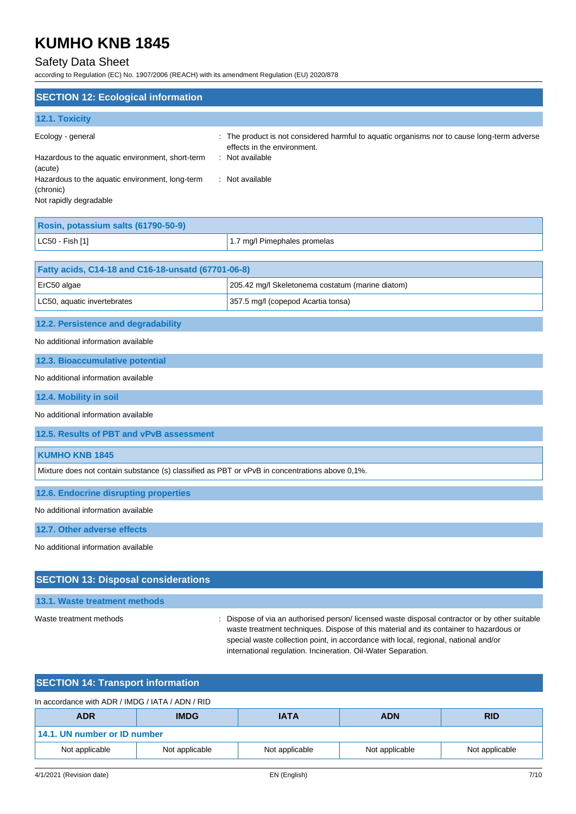## Safety Data Sheet

according to Regulation (EC) No. 1907/2006 (REACH) with its amendment Regulation (EU) 2020/878

| <b>SECTION 12: Ecological information</b>                                              |                                                                                                                            |
|----------------------------------------------------------------------------------------|----------------------------------------------------------------------------------------------------------------------------|
| 12.1. Toxicity                                                                         |                                                                                                                            |
| Ecology - general                                                                      | : The product is not considered harmful to aquatic organisms nor to cause long-term adverse<br>effects in the environment. |
| Hazardous to the aquatic environment, short-term<br>(acute)                            | : Not available                                                                                                            |
| Hazardous to the aquatic environment, long-term<br>(chronic)<br>Not rapidly degradable | : Not available                                                                                                            |
|                                                                                        |                                                                                                                            |

| Rosin, potassium salts (61790-50-9) |                              |  |
|-------------------------------------|------------------------------|--|
| $ $ LC50 - Fish [1]                 | 1.7 mg/l Pimephales promelas |  |

| <b>Fatty acids, C14-18 and C16-18-unsatd (67701-06-8)</b> |                                                  |  |
|-----------------------------------------------------------|--------------------------------------------------|--|
| $\mathsf{E}$ rC50 algae                                   | 205.42 mg/l Skeletonema costatum (marine diatom) |  |
| LC50, aquatic invertebrates                               | 357.5 mg/l (copepod Acartia tonsa)               |  |

### **12.2. Persistence and degradability**

No additional information available

**12.3. Bioaccumulative potential**

#### No additional information available

**12.4. Mobility in soil**

No additional information available

**12.5. Results of PBT and vPvB assessment**

## **KUMHO KNB 1845**

Mixture does not contain substance (s) classified as PBT or vPvB in concentrations above 0,1%.

#### **12.6. Endocrine disrupting properties**

No additional information available

**12.7. Other adverse effects**

No additional information available

## **SECTION 13: Disposal considerations**

#### **13.1. Waste treatment methods**

Waste treatment methods : Dispose of via an authorised person/ licensed waste disposal contractor or by other suitable waste treatment techniques. Dispose of this material and its container to hazardous or special waste collection point, in accordance with local, regional, national and/or international regulation. Incineration. Oil-Water Separation.

## **SECTION 14: Transport information**

#### In accordance with ADR / IMDG / IATA / ADN / RID

| <b>ADR</b>                   | <b>IMDG</b>    | <b>IATA</b>    | <b>ADN</b>     | <b>RID</b>     |
|------------------------------|----------------|----------------|----------------|----------------|
| 14.1. UN number or ID number |                |                |                |                |
| Not applicable               | Not applicable | Not applicable | Not applicable | Not applicable |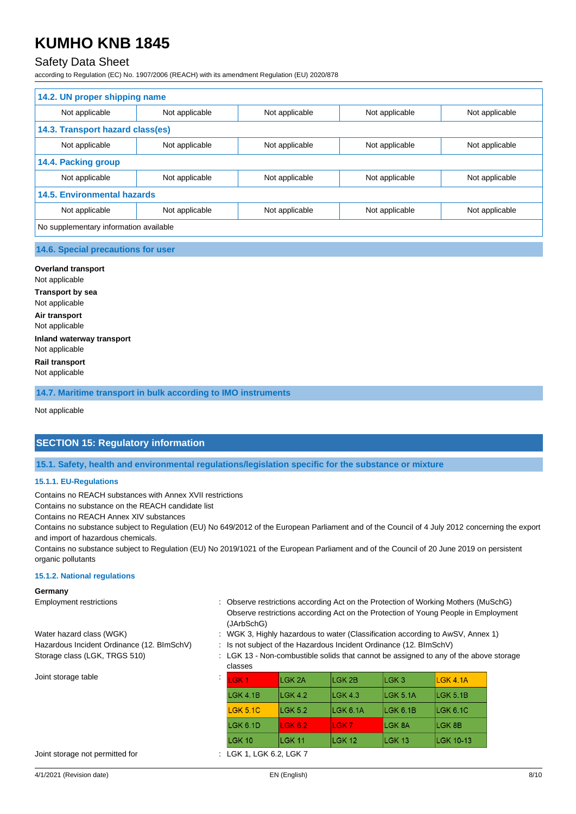## Safety Data Sheet

according to Regulation (EC) No. 1907/2006 (REACH) with its amendment Regulation (EU) 2020/878

| 14.2. UN proper shipping name          |                |                |                |                |
|----------------------------------------|----------------|----------------|----------------|----------------|
| Not applicable                         | Not applicable | Not applicable | Not applicable | Not applicable |
| 14.3. Transport hazard class(es)       |                |                |                |                |
| Not applicable                         | Not applicable | Not applicable | Not applicable | Not applicable |
| 14.4. Packing group                    |                |                |                |                |
| Not applicable                         | Not applicable | Not applicable | Not applicable | Not applicable |
| <b>14.5. Environmental hazards</b>     |                |                |                |                |
| Not applicable                         | Not applicable | Not applicable | Not applicable | Not applicable |
| No supplementary information available |                |                |                |                |
|                                        |                |                |                |                |

#### **14.6. Special precautions for user**

**Overland transport** Not applicable **Transport by sea** Not applicable **Air transport** Not applicable **Inland waterway transport** Not applicable **Rail transport** Not applicable

**14.7. Maritime transport in bulk according to IMO instruments**

Not applicable

## **SECTION 15: Regulatory information**

**15.1. Safety, health and environmental regulations/legislation specific for the substance or mixture**

#### **15.1.1. EU-Regulations**

Contains no REACH substances with Annex XVII restrictions

Contains no substance on the REACH candidate list

Contains no REACH Annex XIV substances

Contains no substance subject to Regulation (EU) No 649/2012 of the European Parliament and of the Council of 4 July 2012 concerning the export and import of hazardous chemicals.

Contains no substance subject to Regulation (EU) No 2019/1021 of the European Parliament and of the Council of 20 June 2019 on persistent organic pollutants

#### **15.1.2. National regulations**

#### **Germany**

- Joint storage table
- Employment restrictions **intervals and the Conserve restrictions according Act on the Protection of Working Mothers (MuSchG)** Observe restrictions according Act on the Protection of Young People in Employment (JArbSchG)
- Water hazard class (WGK) : WGK 3, Highly hazardous to water (Classification according to AwSV, Annex 1)
- Hazardous Incident Ordinance (12. BImSchV) : Is not subject of the Hazardous Incident Ordinance (12. BImSchV)
- Storage class (LGK, TRGS 510) : LGK 13 Non-combustible solids that cannot be assigned to any of the above storage classes

| LGK <sub>1</sub> | LGK <sub>2A</sub> | LGK 2B           | ILGK 3    | LGK 4.1A         |
|------------------|-------------------|------------------|-----------|------------------|
| $L$ GK 4.1B      | LGK 4.2           | LGK 4.3          | LGK 5.1A  | LGK 5.1B         |
| <b>LGK 5.1C</b>  | <b>LGK 5.2</b>    | $L$ GK 6.1A      | ILGK 6.1B | ILGK 6.1C        |
| LGK 6.1D         | <b>LGK 6.2</b>    | LGK <sub>7</sub> | LGK 8A    | LGK 8B           |
| LGK 10           | LGK 11            | <b>LGK 12</b>    | LGK 13    | <b>LGK 10-13</b> |

Joint storage not permitted for : LGK 1, LGK 6.2, LGK 7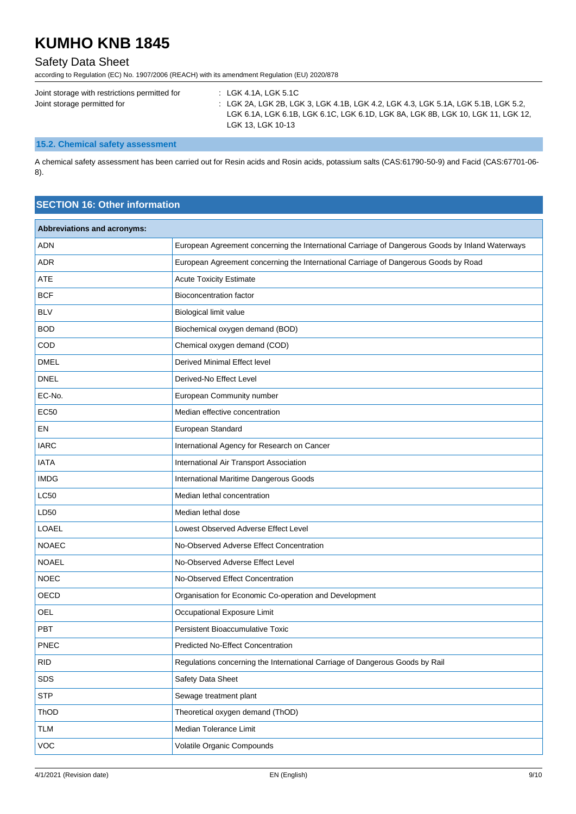## Safety Data Sheet

according to Regulation (EC) No. 1907/2006 (REACH) with its amendment Regulation (EU) 2020/878

| Joint storage with restrictions permitted for | : LGK 4.1A, LGK 5.1C                                                              |
|-----------------------------------------------|-----------------------------------------------------------------------------------|
| Joint storage permitted for                   | : LGK 2A, LGK 2B, LGK 3, LGK 4.1B, LGK 4.2, LGK 4.3, LGK 5.1A, LGK 5.1B, LGK 5.2, |
|                                               | LGK 6.1A, LGK 6.1B, LGK 6.1C, LGK 6.1D, LGK 8A, LGK 8B, LGK 10, LGK 11, LGK 12,   |
|                                               | LGK 13. LGK 10-13                                                                 |

## **15.2. Chemical safety assessment**

A chemical safety assessment has been carried out for Resin acids and Rosin acids, potassium salts (CAS:61790-50-9) and Facid (CAS:67701-06- 8).

## **SECTION 16: Other information**

| Abbreviations and acronyms: |                                                                                                 |
|-----------------------------|-------------------------------------------------------------------------------------------------|
| <b>ADN</b>                  | European Agreement concerning the International Carriage of Dangerous Goods by Inland Waterways |
| <b>ADR</b>                  | European Agreement concerning the International Carriage of Dangerous Goods by Road             |
| <b>ATE</b>                  | <b>Acute Toxicity Estimate</b>                                                                  |
| <b>BCF</b>                  | <b>Bioconcentration factor</b>                                                                  |
| <b>BLV</b>                  | Biological limit value                                                                          |
| <b>BOD</b>                  | Biochemical oxygen demand (BOD)                                                                 |
| COD                         | Chemical oxygen demand (COD)                                                                    |
| <b>DMEL</b>                 | <b>Derived Minimal Effect level</b>                                                             |
| <b>DNEL</b>                 | Derived-No Effect Level                                                                         |
| EC-No.                      | European Community number                                                                       |
| <b>EC50</b>                 | Median effective concentration                                                                  |
| EN                          | European Standard                                                                               |
| <b>IARC</b>                 | International Agency for Research on Cancer                                                     |
| <b>IATA</b>                 | International Air Transport Association                                                         |
| <b>IMDG</b>                 | International Maritime Dangerous Goods                                                          |
| <b>LC50</b>                 | Median lethal concentration                                                                     |
| LD50                        | Median lethal dose                                                                              |
| LOAEL                       | Lowest Observed Adverse Effect Level                                                            |
| <b>NOAEC</b>                | No-Observed Adverse Effect Concentration                                                        |
| <b>NOAEL</b>                | No-Observed Adverse Effect Level                                                                |
| <b>NOEC</b>                 | No-Observed Effect Concentration                                                                |
| OECD                        | Organisation for Economic Co-operation and Development                                          |
| <b>OEL</b>                  | Occupational Exposure Limit                                                                     |
| <b>PBT</b>                  | <b>Persistent Bioaccumulative Toxic</b>                                                         |
| <b>PNEC</b>                 | <b>Predicted No-Effect Concentration</b>                                                        |
| <b>RID</b>                  | Regulations concerning the International Carriage of Dangerous Goods by Rail                    |
| SDS                         | Safety Data Sheet                                                                               |
| <b>STP</b>                  | Sewage treatment plant                                                                          |
| ThOD                        | Theoretical oxygen demand (ThOD)                                                                |
| <b>TLM</b>                  | Median Tolerance Limit                                                                          |
| <b>VOC</b>                  | Volatile Organic Compounds                                                                      |